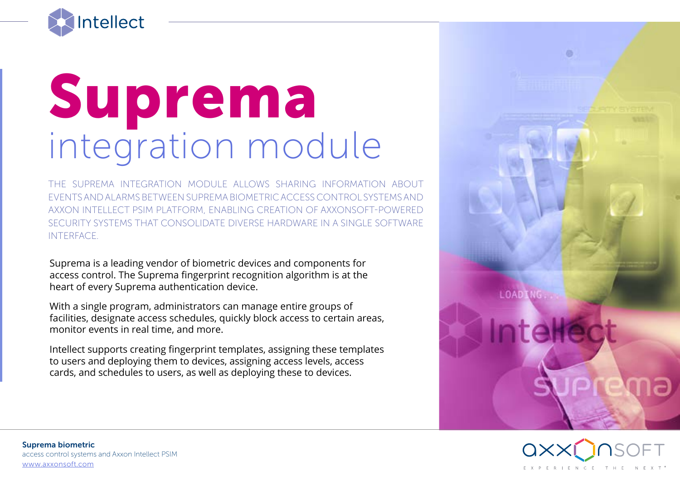

## Suprema integration module

THE SUPREMA INTEGRATION MODULE ALLOWS SHARING INFORMATION ABOUT EVENTS AND ALARMS BETWEEN SUPREMA BIOMETRIC ACCESS CONTROL SYSTEMS AND AXXON INTELLECT PSIM PLATFORM, ENABLING CREATION OF AXXONSOFT-POWERED SECURITY SYSTEMS THAT CONSOLIDATE DIVERSE HARDWARE IN A SINGLE SOFTWARE INTERFACE.

Suprema is a leading vendor of biometric devices and components for access control. The Suprema fingerprint recognition algorithm is at the heart of every Suprema authentication device.

With a single program, administrators can manage entire groups of facilities, designate access schedules, quickly block access to certain areas, monitor events in real time, and more.

Intellect supports creating fingerprint templates, assigning these templates to users and deploying them to devices, assigning access levels, access cards, and schedules to users, as well as deploying these to devices.



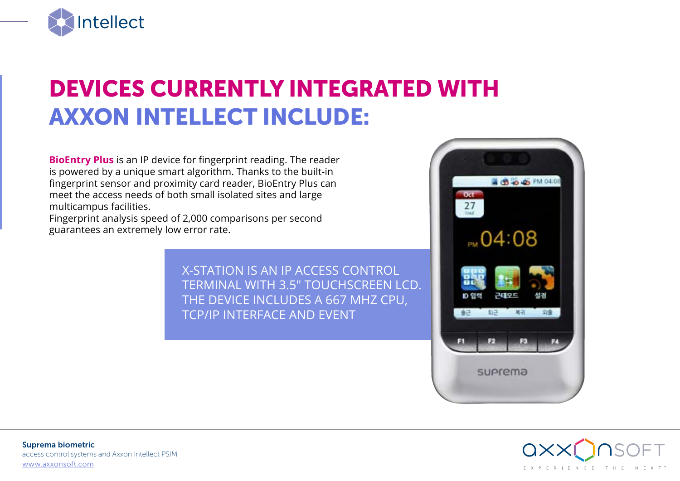

## DEVICES CURRENTLY INTEGRATED WITH AXXON INTELLECT INCLUDE:

**BioEntry Plus** is an IP device for fingerprint reading. The reader is powered by a unique smart algorithm. Thanks to the built-in fingerprint sensor and proximity card reader, BioEntry Plus can meet the access needs of both small isolated sites and large multicampus facilities.

Fingerprint analysis speed of 2,000 comparisons per second guarantees an extremely low error rate.

> X-STATION IS AN IP ACCESS CONTROL TERMINAL WITH 3.5" TOUCHSCREEN LCD. THE DEVICE INCLUDES A 667 MHZ CPU, TCP/IP INTERFACE AND EVENT



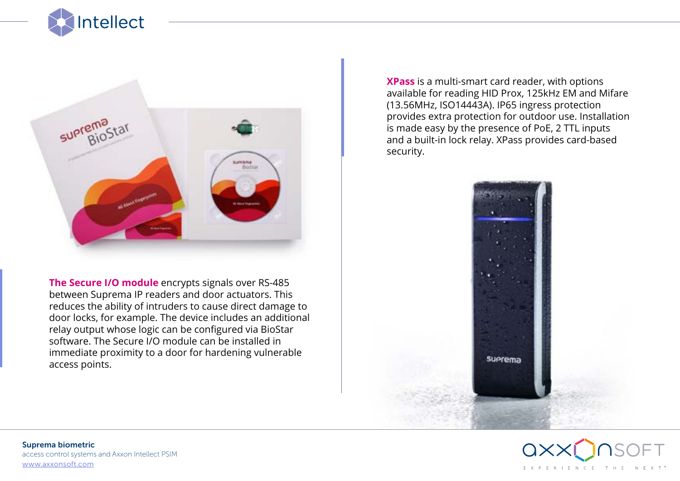



**The Secure I/O module** encrypts signals over RS-485 between Suprema IP readers and door actuators. This reduces the ability of intruders to cause direct damage to door locks, for example. The device includes an additional relay output whose logic can be configured via BioStar software. The Secure I/O module can be installed in immediate proximity to a door for hardening vulnerable access points.

**XPass** is a multi-smart card reader, with options available for reading HID Prox, 125kHz EM and Mifare (13.56MHz, ISO14443A). IP65 ingress protection provides extra protection for outdoor use. Installation is made easy by the presence of PoE, 2 TTL inputs and a built-in lock relay. XPass provides card-based security.



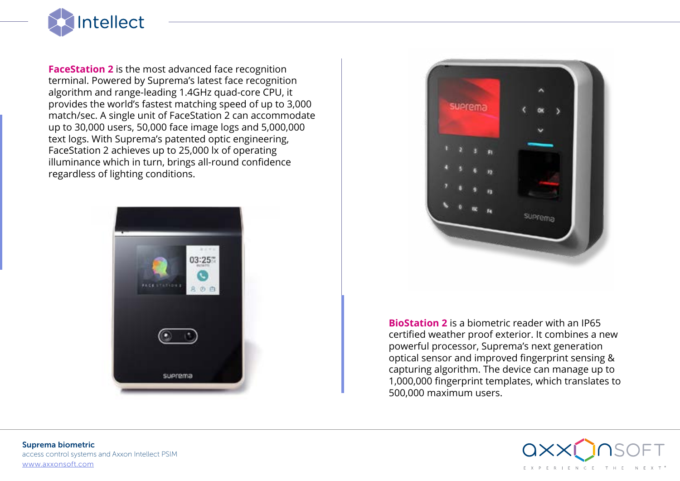

**FaceStation 2** is the most advanced face recognition terminal. Powered by Suprema's latest face recognition algorithm and range-leading 1.4GHz quad-core CPU, it provides the world's fastest matching speed of up to 3,000 match/sec. A single unit of FaceStation 2 can accommodate up to 30,000 users, 50,000 face image logs and 5,000,000 text logs. With Suprema's patented optic engineering, FaceStation 2 achieves up to 25,000 lx of operating illuminance which in turn, brings all-round confidence regardless of lighting conditions.





**BioStation 2** is a biometric reader with an IP65 certified weather proof exterior. It combines a new powerful processor, Suprema's next generation optical sensor and improved fingerprint sensing & capturing algorithm. The device can manage up to 1,000,000 fingerprint templates, which translates to 500,000 maximum users.

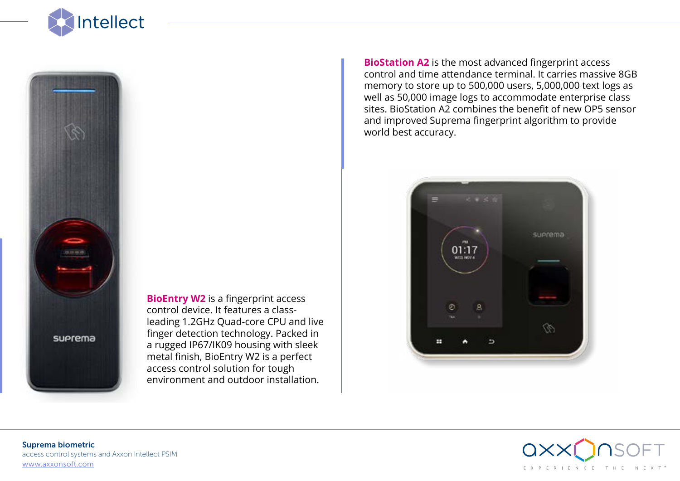



**BioEntry W2** is a fingerprint access control device. It features a classleading 1.2GHz Quad-core CPU and live finger detection technology. Packed in a rugged IP67/IK09 housing with sleek metal finish, BioEntry W2 is a perfect access control solution for tough environment and outdoor installation.

**BioStation A2** is the most advanced fingerprint access control and time attendance terminal. It carries massive 8GB memory to store up to 500,000 users, 5,000,000 text logs as well as 50,000 image logs to accommodate enterprise class sites. BioStation A2 combines the benefit of new OP5 sensor and improved Suprema fingerprint algorithm to provide world best accuracy.